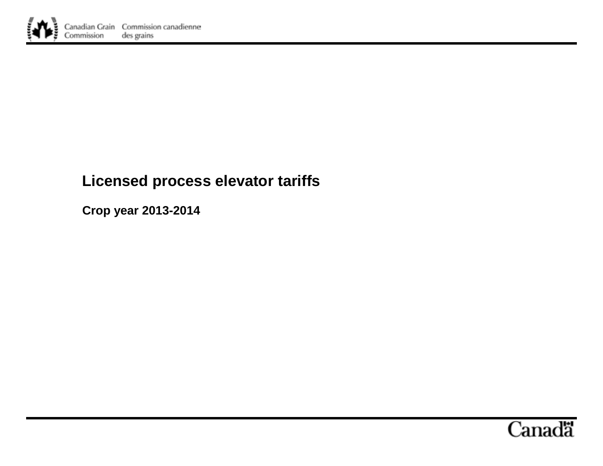

# **Licensed process elevator tariffs**

 **Crop year 2013-2014** 

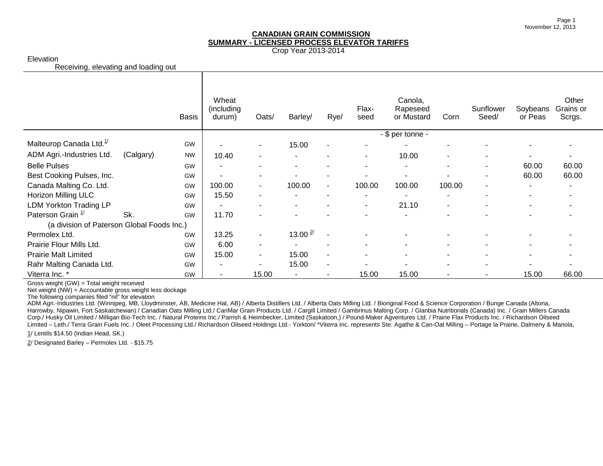## **CANADIAN GRAIN COMMISSION SUMMARY - LICENSED PROCESS ELEVATOR TARIFFS**

Crop Year 2013-2014

#### Elevation

Receiving, elevating and loading out

|                                            | <b>Basis</b> | Wheat<br>(including<br>durum) | Oats/                    | Barley/                  | Rye/                     | Flax-<br>seed  | Canola,<br>Rapeseed<br>or Mustard | Corn                     | Sunflower<br>Seed/       | Soybeans<br>or Peas      | Other<br>Grains or<br>Scrgs. |
|--------------------------------------------|--------------|-------------------------------|--------------------------|--------------------------|--------------------------|----------------|-----------------------------------|--------------------------|--------------------------|--------------------------|------------------------------|
|                                            |              | - \$ per tonne -              |                          |                          |                          |                |                                   |                          |                          |                          |                              |
| Malteurop Canada Ltd. <sup>1/</sup>        | GW           |                               | $\overline{\phantom{a}}$ | 15.00                    | $\blacksquare$           |                |                                   | $\overline{\phantom{a}}$ |                          | $\overline{\phantom{a}}$ |                              |
| ADM Agri.-Industries Ltd.<br>(Calgary)     | <b>NW</b>    | 10.40                         | $\blacksquare$           | $\overline{\phantom{a}}$ |                          | $\sim$         | 10.00                             | $\overline{\phantom{a}}$ | $\overline{\phantom{a}}$ | $\blacksquare$           | $\overline{\phantom{a}}$     |
| <b>Belle Pulses</b>                        | GW           |                               | $\blacksquare$           | ۰                        | $\blacksquare$           | $\blacksquare$ | $\sim$                            | $\overline{\phantom{a}}$ | $\overline{\phantom{a}}$ | 60.00                    | 60.00                        |
| Best Cooking Pulses, Inc.                  | GW           |                               | ۰                        |                          |                          |                |                                   |                          | $\overline{\phantom{a}}$ | 60.00                    | 60.00                        |
| Canada Malting Co. Ltd.                    | GW           | 100.00                        | $\sim$                   | 100.00                   | $\sim$                   | 100.00         | 100.00                            | 100.00                   | $\overline{\phantom{a}}$ | $\overline{\phantom{a}}$ |                              |
| Horizon Milling ULC                        | GW           | 15.50                         |                          |                          |                          |                |                                   |                          |                          | $\blacksquare$           |                              |
| <b>LDM Yorkton Trading LP</b>              | GW           |                               |                          | $\overline{\phantom{a}}$ |                          | $\sim$         | 21.10                             | $\overline{\phantom{a}}$ |                          | $\blacksquare$           |                              |
| Paterson Grain <sup>1/</sup><br>Sk.        | GW           | 11.70                         |                          |                          |                          |                |                                   |                          |                          |                          |                              |
| (a division of Paterson Global Foods Inc.) |              |                               |                          |                          |                          |                |                                   |                          |                          |                          |                              |
| Permolex Ltd.                              | GW           | 13.25                         | ۰.                       | 13.00 $^{2/}$            | $\overline{\phantom{a}}$ |                |                                   |                          |                          | $\blacksquare$           |                              |
| Prairie Flour Mills Ltd.                   | GW           | 6.00                          | $\overline{\phantom{a}}$ | $\overline{\phantom{a}}$ |                          |                |                                   |                          |                          | $\blacksquare$           |                              |
| <b>Prairie Malt Limited</b>                | GW           | 15.00                         | $\blacksquare$           | 15.00                    | $\overline{\phantom{a}}$ |                | ۰                                 | $\overline{\phantom{a}}$ | $\overline{\phantom{a}}$ | $\overline{\phantom{a}}$ |                              |
| Rahr Malting Canada Ltd.                   | GW           |                               | $\overline{\phantom{0}}$ | 15.00                    | $\overline{\phantom{a}}$ |                |                                   |                          |                          |                          |                              |
| Viterra Inc. *                             | GW           | ۰.                            | 15.00                    | $\overline{\phantom{a}}$ | ۰.                       | 15.00          | 15.00                             |                          | $\overline{\phantom{a}}$ | 15.00                    | 66.00                        |

Gross weight (GW) = Total weight received

Net weight  $(NW) = Accountable$  gross weight less dockage

The following companies filed "nil" for elevation

ADM Agri.-Industries Ltd. (Winnipeg, MB, Lloydminster, AB, Medicine Hat, AB) / Alberta Distillers Ltd. / Alberta Oats Milling Ltd. / Bioriginal Food & Science Corporation / Bunge Canada (Altona, Harrowby, Nipawin, Fort Saskatchewan) / Canadian Oats Milling Ltd./ CanMar Grain Products Ltd. / Cargill Limited / Gambrinus Malting Corp. / Glanbia Nutritionals (Canada) Inc. / Grain Millers Canada<br>Harrowby, Nipawin, Fort Corp./ Husky Oil Limited / Milligan Bio-Tech Inc. / Natural Proteins Inc./ Parrish & Heimbecker, Limited (Saskatoon,) / Pound-Maker Agventures Ltd. / Prairie Flax Products Inc. / Richardson Oilseed Limited – Leth./ Terra Grain Fuels Inc. / Oleet Processing Ltd./ Richardson Oilseed Holdings Ltd.- Yorkton/ \*Viterra Inc. represents Ste. Agathe & Can-Oat Milling – Portage la Prairie, Dalmeny & Manola,

1/ Lentils \$14.50 (Indian Head, SK.)

2/ Designated Barley – Permolex Ltd. - \$15.75